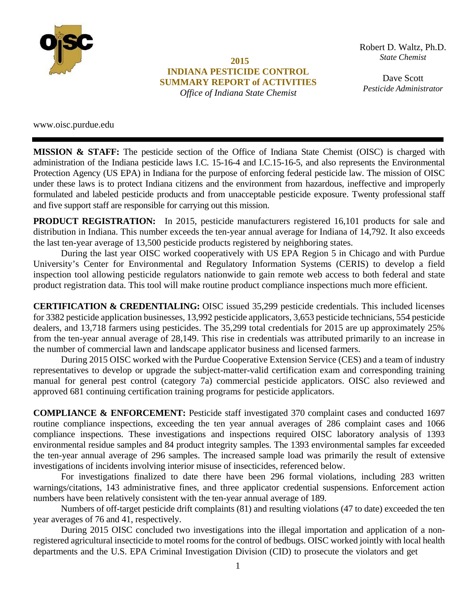

**2015 INDIANA PESTICIDE CONTROL SUMMARY REPORT of ACTIVITIES**  *Office of Indiana State Chemist*

Robert D. Waltz, Ph.D. *State Chemist*

*State Chemist & Seed*  Dave Scott *Pesticide Administrator*

www.oisc.purdue.edu

**MISSION & STAFF:** The pesticide section of the Office of Indiana State Chemist (OISC) is charged with administration of the Indiana pesticide laws I.C. 15-16-4 and I.C.15-16-5, and also represents the Environmental Protection Agency (US EPA) in Indiana for the purpose of enforcing federal pesticide law. The mission of OISC under these laws is to protect Indiana citizens and the environment from hazardous, ineffective and improperly formulated and labeled pesticide products and from unacceptable pesticide exposure. Twenty professional staff and five support staff are responsible for carrying out this mission.

**PRODUCT REGISTRATION:** In 2015, pesticide manufacturers registered 16,101 products for sale and distribution in Indiana. This number exceeds the ten-year annual average for Indiana of 14,792. It also exceeds the last ten-year average of 13,500 pesticide products registered by neighboring states.

During the last year OISC worked cooperatively with US EPA Region 5 in Chicago and with Purdue University's Center for Environmental and Regulatory Information Systems (CERIS) to develop a field inspection tool allowing pesticide regulators nationwide to gain remote web access to both federal and state product registration data. This tool will make routine product compliance inspections much more efficient.

**CERTIFICATION & CREDENTIALING:** OISC issued 35,299 pesticide credentials. This included licenses for 3382 pesticide application businesses, 13,992 pesticide applicators, 3,653 pesticide technicians, 554 pesticide dealers, and 13,718 farmers using pesticides. The 35,299 total credentials for 2015 are up approximately 25% from the ten-year annual average of 28,149. This rise in credentials was attributed primarily to an increase in the number of commercial lawn and landscape applicator business and licensed farmers.

During 2015 OISC worked with the Purdue Cooperative Extension Service (CES) and a team of industry representatives to develop or upgrade the subject-matter-valid certification exam and corresponding training manual for general pest control (category 7a) commercial pesticide applicators. OISC also reviewed and approved 681 continuing certification training programs for pesticide applicators.

**COMPLIANCE & ENFORCEMENT:** Pesticide staff investigated 370 complaint cases and conducted 1697 routine compliance inspections, exceeding the ten year annual averages of 286 complaint cases and 1066 compliance inspections. These investigations and inspections required OISC laboratory analysis of 1393 environmental residue samples and 84 product integrity samples. The 1393 environmental samples far exceeded the ten-year annual average of 296 samples. The increased sample load was primarily the result of extensive investigations of incidents involving interior misuse of insecticides, referenced below.

For investigations finalized to date there have been 296 formal violations, including 283 written warnings/citations, 143 administrative fines, and three applicator credential suspensions. Enforcement action numbers have been relatively consistent with the ten-year annual average of 189.

Numbers of off-target pesticide drift complaints (81) and resulting violations (47 to date) exceeded the ten year averages of 76 and 41, respectively.

During 2015 OISC concluded two investigations into the illegal importation and application of a nonregistered agricultural insecticide to motel rooms for the control of bedbugs. OISC worked jointly with local health departments and the U.S. EPA Criminal Investigation Division (CID) to prosecute the violators and get